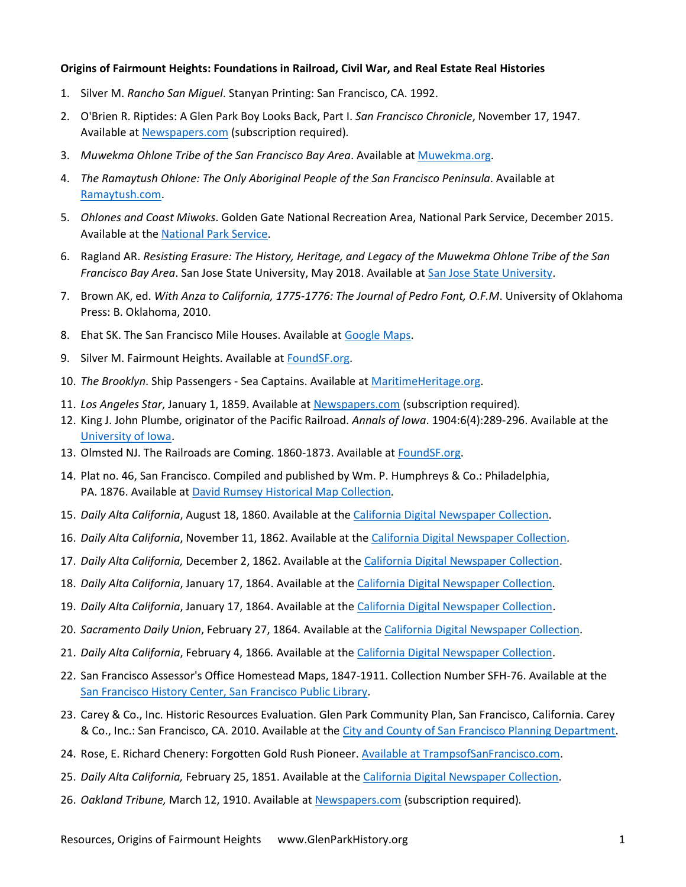## **Origins of Fairmount Heights: Foundations in Railroad, Civil War, and Real Estate Real Histories**

- 1. Silver M. *Rancho San Miguel*. Stanyan Printing: San Francisco, CA. 1992.
- 2. O'Brien R. Riptides: A Glen Park Boy Looks Back, Part I. *San Francisco Chronicle*, November 17, 1947. Available a[t Newspapers.com](http://www.newspapers.com/) (subscription required)*.*
- 3. *Muwekma Ohlone Tribe of the San Francisco Bay Area*. Available at [Muwekma.org.](http://www.muwekma.org/)
- 4. *The Ramaytush Ohlone: The Only Aboriginal People of the San Francisco Peninsula*. Available at [Ramaytush.com.](http://www.ramaytush.com/)
- 5. *Ohlones and Coast Miwoks*. Golden Gate National Recreation Area, National Park Service, December 2015. Available at the [National Park Service.](https://www.nps.gov/goga/learn/historyculture/ohlones-and-coast-miwoks.htm)
- 6. Ragland AR. *Resisting Erasure: The History, Heritage, and Legacy of the Muwekma Ohlone Tribe of the San Francisco Bay Area*. San Jose State University, May 2018. Available at [San Jose State University.](http://www.sjsu.edu/anthropology/docs/projectfolder/RaglandAlisha.pdf)
- 7. Brown AK, ed. *With Anza to California, 1775-1776: The Journal of Pedro Font, O.F.M*. University of Oklahoma Press: B. Oklahoma, 2010.
- 8. Ehat SK. The San Francisco Mile Houses. Available a[t Google Maps.](https://www.google.com/maps/d/u/0/viewer?msa=0&ll=37.740058999999995%2C-122.423701&spn=0.124789%2C0.264187&mid=1TgUqWQBrMyCT3IDECd92Cz5ZGg0&z=11)
- 9. Silver M. Fairmount Heights. Available at [FoundSF.org.](http://www.foundsf.org/index.php?title=Fairmount_Heights)
- 10. *The Brooklyn*. Ship Passengers Sea Captains. Available a[t MaritimeHeritage.org.](https://www.maritimeheritage.org/passengers/br073146.htm)
- 11. *Los Angeles Star*, January 1, 1859. Available a[t Newspapers.com](http://www.newspapers.com/) (subscription required)*.*
- 12. King J. John Plumbe, originator of the Pacific Railroad. *Annals of Iowa*. 1904:6(4):289-296. Available at the [University of Iowa.](https://ir.uiowa.edu/cgi/viewcontent.cgi?article=2979&context=annals-of-iowa)
- 13. Olmsted NJ. The Railroads are Coming. 1860-1873. Available at [FoundSF.org.](http://www.foundsf.org/index.php?title=The_Railroads_Are_Coming_1860-1873)
- 14. Plat no. 46, San Francisco. Compiled and published by Wm. P. Humphreys & Co.: Philadelphia, PA. 1876. Available at [David Rumsey Historical Map Collection](https://www.davidrumsey.com/luna/servlet/detail/RUMSEY~8~1~24668~940009:Plat-46--San-Francisco-)*.*
- 15. *Daily Alta California*, August 18, 1860. Available at th[e California Digital Newspaper Collection.](https://cdnc.ucr.edu/)
- 16. *Daily Alta California*, November 11, 1862. Available at th[e California Digital Newspaper Collection.](https://cdnc.ucr.edu/)
- 17. *Daily Alta California,* December 2, 1862. Available at the [California Digital Newspaper Collection.](https://cdnc.ucr.edu/)
- 18. *Daily Alta California*, January 17, 1864. Available at the [California Digital Newspaper Collection](https://cdnc.ucr.edu/)*.*
- 19. *Daily Alta California*, January 17, 1864. Available at the [California Digital Newspaper Collection.](https://cdnc.ucr.edu/)
- 20. *Sacramento Daily Union*, February 27, 1864*.* Available at the [California Digital Newspaper Collection.](https://cdnc.ucr.edu/)
- 21. *Daily Alta California*, February 4, 1866*.* Available at the [California Digital Newspaper Collection.](https://cdnc.ucr.edu/)
- 22. San Francisco Assessor's Office Homestead Maps, 1847-1911. Collection Number SFH-76. Available at the [San Francisco History Center, San Francisco Public Library.](https://sfpl.org/?pg=0200002501)
- 23. Carey & Co., Inc. Historic Resources Evaluation. Glen Park Community Plan, San Francisco, California. Carey & Co., Inc.: San Francisco, CA. 2010. Available at the [City and County of San Francisco Planning Department.](https://default.sfplanning.org/Citywide/Glen_Park/Glen%20Park%20HRE%20HRER%20Memoranda.pdf)
- 24. Rose, E. Richard Chenery: Forgotten Gold Rush Pioneer. [Available at TrampsofSanFrancisco.com.](http://www.trampsofsanfrancisco.com/richard-chenery-gold-rush-pioneer/)
- 25. *Daily Alta California,* February 25, 1851. Available at the [California Digital Newspaper Collection.](https://cdnc.ucr.edu/)
- 26. *Oakland Tribune,* March 12, 1910. Available at [Newspapers.com](http://www.newspapers.com/) (subscription required)*.*